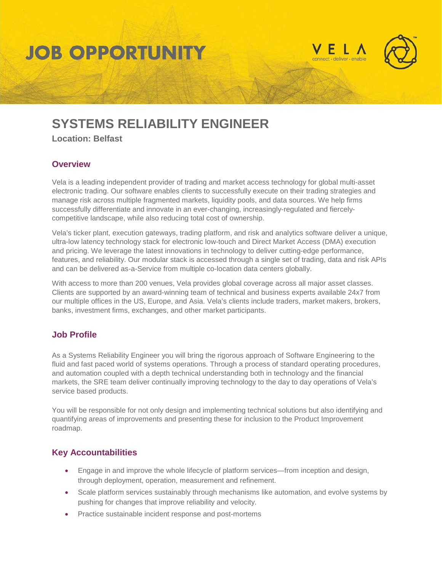## **JOB OPPORTUNITY**





### **SYSTEMS RELIABILITY ENGINEER**

**Location: Belfast**

#### **Overview**

Vela is a leading independent provider of trading and market access technology for global multi-asset electronic trading. Our software enables clients to successfully execute on their trading strategies and manage risk across multiple fragmented markets, liquidity pools, and data sources. We help firms successfully differentiate and innovate in an ever-changing, increasingly-regulated and fiercelycompetitive landscape, while also reducing total cost of ownership.

Vela's ticker plant, execution gateways, trading platform, and risk and analytics software deliver a unique, ultra-low latency technology stack for electronic low-touch and Direct Market Access (DMA) execution and pricing. We leverage the latest innovations in technology to deliver cutting-edge performance, features, and reliability. Our modular stack is accessed through a single set of trading, data and risk APIs and can be delivered as-a-Service from multiple co-location data centers globally.

With access to more than 200 venues, Vela provides global coverage across all major asset classes. Clients are supported by an award-winning team of technical and business experts available 24x7 from our multiple offices in the US, Europe, and Asia. Vela's clients include traders, market makers, brokers, banks, investment firms, exchanges, and other market participants.

### **Job Profile**

As a Systems Reliability Engineer you will bring the rigorous approach of Software Engineering to the fluid and fast paced world of systems operations. Through a process of standard operating procedures, and automation coupled with a depth technical understanding both in technology and the financial markets, the SRE team deliver continually improving technology to the day to day operations of Vela's service based products.

You will be responsible for not only design and implementing technical solutions but also identifying and quantifying areas of improvements and presenting these for inclusion to the Product Improvement roadmap.

### **Key Accountabilities**

- Engage in and improve the whole lifecycle of platform services—from inception and design, through deployment, operation, measurement and refinement.
- Scale platform services sustainably through mechanisms like automation, and evolve systems by pushing for changes that improve reliability and velocity.
- Practice sustainable incident response and post-mortems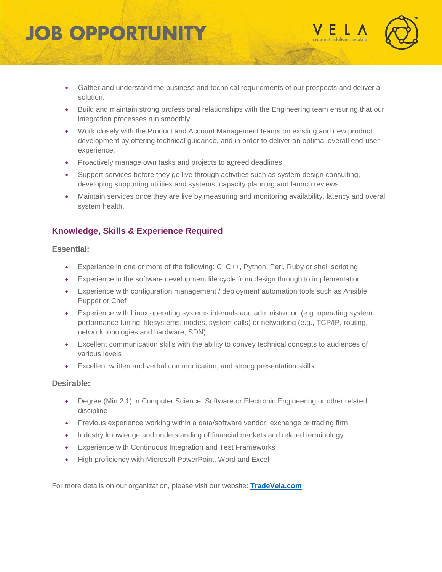# **JOB OPPORTUNIT**





- Gather and understand the business and technical requirements of our prospects and deliver a solution.
- Build and maintain strong professional relationships with the Engineering team ensuring that our integration processes run smoothly.
- Work closely with the Product and Account Management teams on existing and new product development by offering technical guidance, and in order to deliver an optimal overall end-user experience.
- Proactively manage own tasks and projects to agreed deadlines
- Support services before they go live through activities such as system design consulting, developing supporting utilities and systems, capacity planning and launch reviews.
- Maintain services once they are live by measuring and monitoring availability, latency and overall system health.

### **Knowledge, Skills & Experience Required**

#### **Essential:**

- Experience in one or more of the following: C, C++, Python, Perl, Ruby or shell scripting
- Experience in the software development life cycle from design through to implementation
- Experience with configuration management / deployment automation tools such as Ansible, Puppet or Chef
- Experience with Linux operating systems internals and administration (e.g. operating system performance tuning, filesystems, inodes, system calls) or networking (e.g., TCP/IP, routing, network topologies and hardware, SDN)
- Excellent communication skills with the ability to convey technical concepts to audiences of various levels
- Excellent written and verbal communication, and strong presentation skills

#### **Desirable:**

- Degree (Min 2.1) in Computer Science, Software or Electronic Engineering or other related discipline
- Previous experience working within a data/software vendor, exchange or trading firm
- Industry knowledge and understanding of financial markets and related terminology
- Experience with Continuous Integration and Test Frameworks
- High proficiency with Microsoft PowerPoint, Word and Excel

For more details on our organization, please visit our website: **[TradeVela.com](http://www.tradevela.com/)**